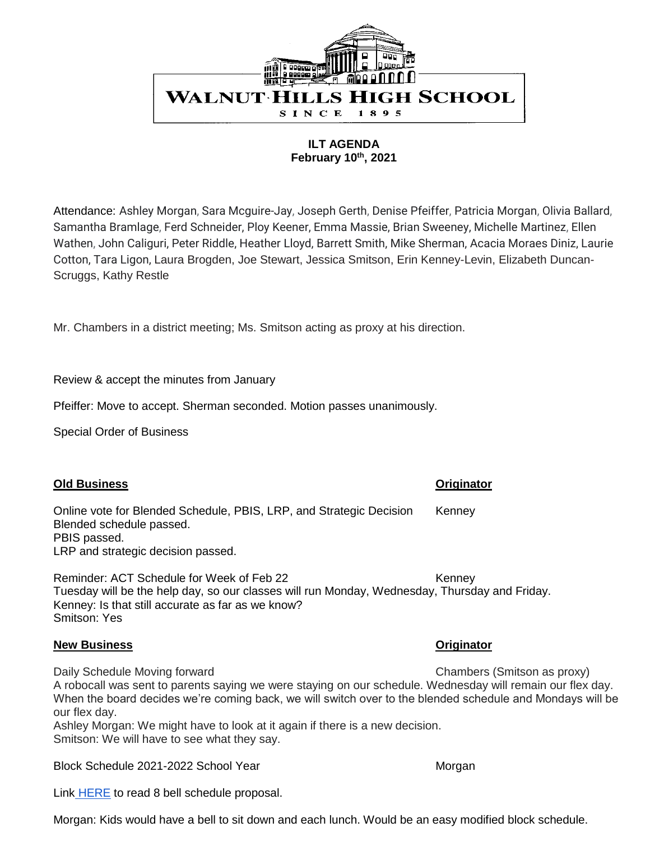

**ILT AGENDA February 10th, 2021**

Attendance: Ashley Morgan, Sara Mcguire-Jay, Joseph Gerth, Denise Pfeiffer, Patricia Morgan, Olivia Ballard, Samantha Bramlage, Ferd Schneider, Ploy Keener, Emma Massie, Brian Sweeney, Michelle Martinez, Ellen Wathen, John Caliguri, Peter Riddle, Heather Lloyd, Barrett Smith, Mike Sherman, Acacia Moraes Diniz, Laurie Cotton, Tara Ligon, Laura Brogden, Joe Stewart, Jessica Smitson, Erin Kenney-Levin, Elizabeth Duncan-Scruggs, Kathy Restle

Mr. Chambers in a district meeting; Ms. Smitson acting as proxy at his direction.

Review & accept the minutes from January

Pfeiffer: Move to accept. Sherman seconded. Motion passes unanimously.

Special Order of Business

## **Old Business Originator**

Online vote for Blended Schedule, PBIS, LRP, and Strategic Decision Kenney Blended schedule passed. PBIS passed. LRP and strategic decision passed.

Reminder: ACT Schedule for Week of Feb 22 Kenney Tuesday will be the help day, so our classes will run Monday, Wednesday, Thursday and Friday. Kenney: Is that still accurate as far as we know? Smitson: Yes

## **New Business Originator**

Daily Schedule Moving forward Chambers (Smitson as proxy)

A robocall was sent to parents saying we were staying on our schedule. Wednesday will remain our flex day. When the board decides we're coming back, we will switch over to the blended schedule and Mondays will be our flex day.

Ashley Morgan: We might have to look at it again if there is a new decision. Smitson: We will have to see what they say.

Block Schedule 2021-2022 School Year Morgan Morgan Morgan

Link **[HERE](https://docs.google.com/spreadsheets/d/1ZKHD6LvBI60gLpvgg1Kp5HU8wiBbAhP7QDVzp_WQ_DQ/edit#gid=140338788)** to read 8 bell schedule proposal.

Morgan: Kids would have a bell to sit down and each lunch. Would be an easy modified block schedule.